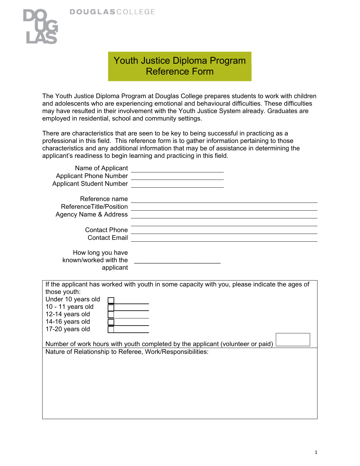

## Youth Justice Diploma Program Reference Form

The Youth Justice Diploma Program at Douglas College prepares students to work with children and adolescents who are experiencing emotional and behavioural difficulties. These difficulties may have resulted in their involvement with the Youth Justice System already. Graduates are employed in residential, school and community settings.

There are characteristics that are seen to be key to being successful in practicing as a professional in this field. This reference form is to gather information pertaining to those characteristics and any additional information that may be of assistance in determining the applicant's readiness to begin learning and practicing in this field.

| Name of Applicant                                         |                                                                                               |
|-----------------------------------------------------------|-----------------------------------------------------------------------------------------------|
| <b>Applicant Phone Number</b>                             |                                                                                               |
| <b>Applicant Student Number</b>                           |                                                                                               |
|                                                           |                                                                                               |
| Reference name                                            |                                                                                               |
| ReferenceTitle/Position                                   |                                                                                               |
| <b>Agency Name &amp; Address</b>                          |                                                                                               |
|                                                           |                                                                                               |
| <b>Contact Phone</b>                                      |                                                                                               |
| <b>Contact Email</b>                                      |                                                                                               |
|                                                           |                                                                                               |
| How long you have                                         |                                                                                               |
| known/worked with the                                     |                                                                                               |
| applicant                                                 |                                                                                               |
|                                                           |                                                                                               |
|                                                           | If the applicant has worked with youth in some capacity with you, please indicate the ages of |
| those youth:                                              |                                                                                               |
| Under 10 years old                                        |                                                                                               |
| 10 - 11 years old                                         |                                                                                               |
| 12-14 years old                                           |                                                                                               |
| 14-16 years old                                           |                                                                                               |
| 17-20 years old                                           |                                                                                               |
|                                                           |                                                                                               |
|                                                           | Number of work hours with youth completed by the applicant (volunteer or paid)                |
|                                                           |                                                                                               |
|                                                           |                                                                                               |
|                                                           |                                                                                               |
| Nature of Relationship to Referee, Work/Responsibilities: |                                                                                               |
|                                                           |                                                                                               |
|                                                           |                                                                                               |
|                                                           |                                                                                               |
|                                                           |                                                                                               |
|                                                           |                                                                                               |
|                                                           |                                                                                               |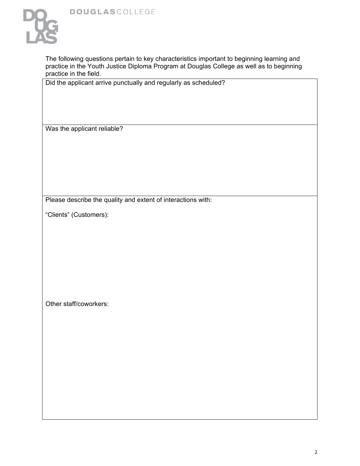

The following questions pertain to key characteristics important to beginning learning and practice in the Youth Justice Diploma Program at Douglas College as well as to beginning practice in the field.

Did the applicant arrive punctually and regularly as scheduled?

Was the applicant reliable?

Please describe the quality and extent of interactions with:

"Clients" (Customers):

Other staff/coworkers: